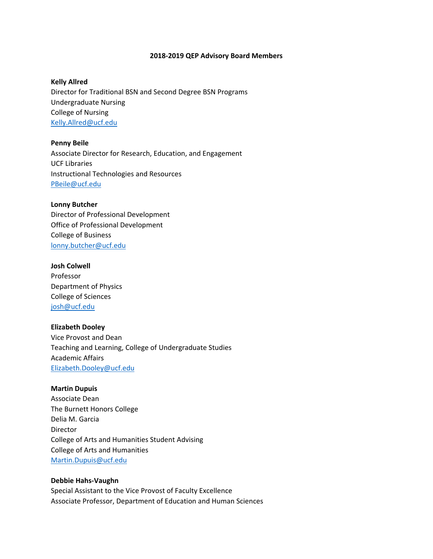#### **2018‐2019 QEP Advisory Board Members**

## **Kelly Allred**

Director for Traditional BSN and Second Degree BSN Programs Undergraduate Nursing College of Nursing Kelly.Allred@ucf.edu

**Penny Beile** Associate Director for Research, Education, and Engagement UCF Libraries Instructional Technologies and Resources PBeile@ucf.edu

#### **Lonny Butcher**

Director of Professional Development Office of Professional Development College of Business lonny.butcher@ucf.edu

## **Josh Colwell**

Professor Department of Physics College of Sciences josh@ucf.edu

## **Elizabeth Dooley**

Vice Provost and Dean Teaching and Learning, College of Undergraduate Studies Academic Affairs Elizabeth.Dooley@ucf.edu

## **Martin Dupuis**

Associate Dean The Burnett Honors College Delia M. Garcia Director College of Arts and Humanities Student Advising College of Arts and Humanities Martin.Dupuis@ucf.edu

# **Debbie Hahs‐Vaughn**

Special Assistant to the Vice Provost of Faculty Excellence Associate Professor, Department of Education and Human Sciences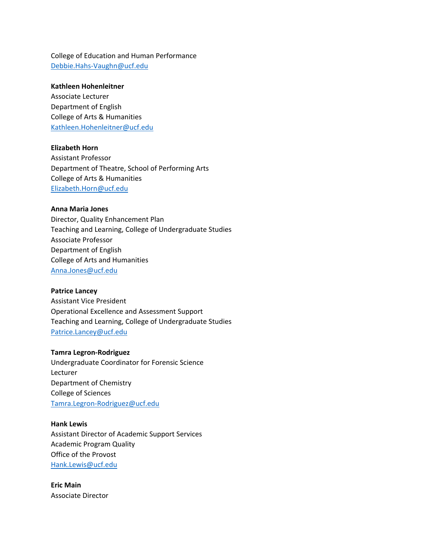College of Education and Human Performance Debbie.Hahs‐Vaughn@ucf.edu

## **Kathleen Hohenleitner**

Associate Lecturer Department of English College of Arts & Humanities Kathleen.Hohenleitner@ucf.edu

# **Elizabeth Horn**

Assistant Professor Department of Theatre, School of Performing Arts College of Arts & Humanities Elizabeth.Horn@ucf.edu

# **Anna Maria Jones**

Director, Quality Enhancement Plan Teaching and Learning, College of Undergraduate Studies Associate Professor Department of English College of Arts and Humanities Anna.Jones@ucf.edu

## **Patrice Lancey**

Assistant Vice President Operational Excellence and Assessment Support Teaching and Learning, College of Undergraduate Studies Patrice.Lancey@ucf.edu

## **Tamra Legron‐Rodriguez**

Undergraduate Coordinator for Forensic Science Lecturer Department of Chemistry College of Sciences Tamra.Legron‐Rodriguez@ucf.edu

# **Hank Lewis**

Assistant Director of Academic Support Services Academic Program Quality Office of the Provost Hank.Lewis@ucf.edu

**Eric Main** Associate Director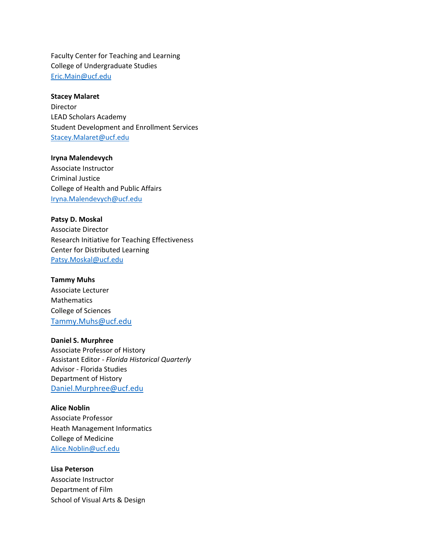Faculty Center for Teaching and Learning College of Undergraduate Studies Eric.Main@ucf.edu

## **Stacey Malaret**

Director LEAD Scholars Academy Student Development and Enrollment Services Stacey.Malaret@ucf.edu

**Iryna Malendevych**

Associate Instructor Criminal Justice College of Health and Public Affairs Iryna.Malendevych@ucf.edu

**Patsy D. Moskal** Associate Director Research Initiative for Teaching Effectiveness Center for Distributed Learning Patsy.Moskal@ucf.edu

**Tammy Muhs** Associate Lecturer **Mathematics** College of Sciences Tammy.Muhs@ucf.edu

**Daniel S. Murphree** Associate Professor of History Assistant Editor ‐ *Florida Historical Quarterly* Advisor ‐ Florida Studies Department of History Daniel.Murphree@ucf.edu

**Alice Noblin** Associate Professor Heath Management Informatics College of Medicine Alice.Noblin@ucf.edu

**Lisa Peterson** Associate Instructor Department of Film School of Visual Arts & Design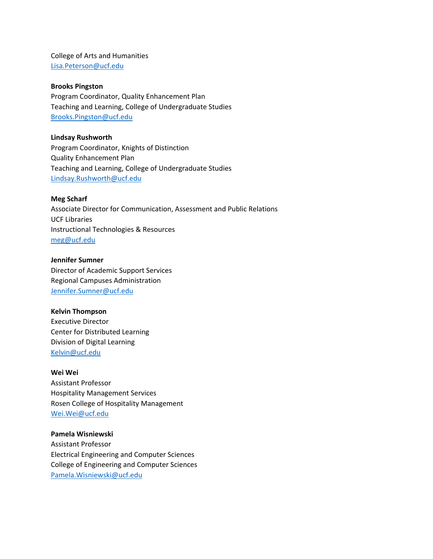College of Arts and Humanities Lisa.Peterson@ucf.edu

## **Brooks Pingston**

Program Coordinator, Quality Enhancement Plan Teaching and Learning, College of Undergraduate Studies Brooks.Pingston@ucf.edu

# **Lindsay Rushworth**

Program Coordinator, Knights of Distinction Quality Enhancement Plan Teaching and Learning, College of Undergraduate Studies Lindsay.Rushworth@ucf.edu

## **Meg Scharf**

Associate Director for Communication, Assessment and Public Relations UCF Libraries Instructional Technologies & Resources meg@ucf.edu

# **Jennifer Sumner**

Director of Academic Support Services Regional Campuses Administration Jennifer.Sumner@ucf.edu

## **Kelvin Thompson**

Executive Director Center for Distributed Learning Division of Digital Learning Kelvin@ucf.edu

## **Wei Wei**

Assistant Professor Hospitality Management Services Rosen College of Hospitality Management Wei.Wei@ucf.edu

## **Pamela Wisniewski**

Assistant Professor Electrical Engineering and Computer Sciences College of Engineering and Computer Sciences Pamela.Wisniewski@ucf.edu